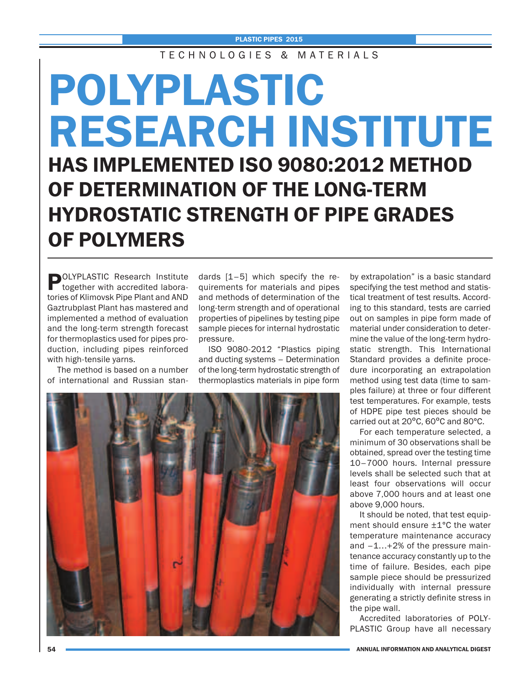T F C H N O L O G L E S & M A T E R L A L S

## **POLYPLASTIC RESEARCH INSTITUTE HAS IMPLEMENTED ISO 9080:2012 METHOD OF DETERMINATION OF THE LONG-TERM HYDROSTATIC STRENGTH OF PIPE GRADES OF POLYMERS**

**POLYPLASTIC Research Institute**<br>together with accredited laboratories of Klimovsk Pipe Plant and AND Gaztrubplast Plant has mastered and implemented a method of evaluation and the long-term strength forecast for thermoplastics used for pipes production, including pipes reinforced with high-tensile yarns.

The method is based on a number of international and Russian standards [1–5] which specify the requirements for materials and pipes and methods of determination of the long-term strength and of operational properties of pipelines by testing pipe sample pieces for internal hydrostatic pressure.

ISO 9080-2012 "Plastics piping and ducting systems – Determination of the long-term hydrostatic strength of thermoplastics materials in pipe form



by extrapolation" is a basic standard specifying the test method and statistical treatment of test results. According to this standard, tests are carried out on samples in pipe form made of material under consideration to determine the value of the long-term hydrostatic strength. This International Standard provides a definite procedure incorporating an extrapolation method using test data (time to samples failure) at three or four different test temperatures. For example, tests of HDPE pipe test pieces should be carried out at 20ºC, 60ºC and 80°С.

For each temperature selected, a minimum of 30 observations shall be obtained, spread over the testing time 10–7000 hours. Internal pressure levels shall be selected such that at least four observations will occur above 7,000 hours and at least one above 9,000 hours.

It should be noted, that test equipment should ensure ±1°С the water temperature maintenance accuracy and  $-1...+2%$  of the pressure maintenance accuracy constantly up to the time of failure. Besides, each pipe sample piece should be pressurized individually with internal pressure generating a strictly definite stress in the pipe wall.

Accredited laboratories of POLY-PLASTIC Group have all necessary